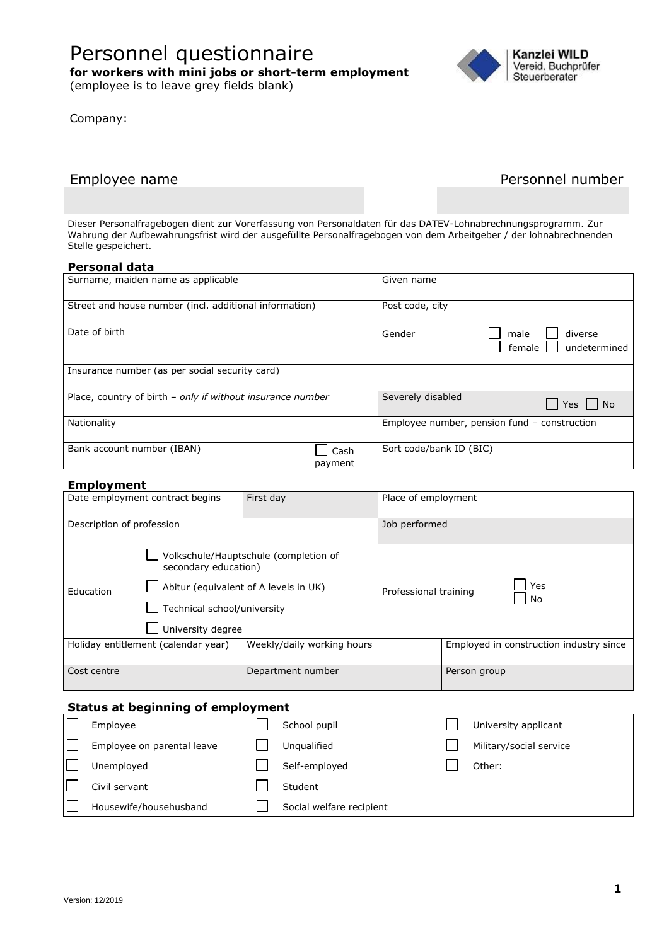# Personnel questionnaire

**for workers with mini jobs or short-term employment** 

(employee is to leave grey fields blank)

Company:



# Employee name **Personnel number** Personnel number

Dieser Personalfragebogen dient zur Vorerfassung von Personaldaten für das DATEV-Lohnabrechnungsprogramm. Zur Wahrung der Aufbewahrungsfrist wird der ausgefüllte Personalfragebogen von dem Arbeitgeber / der lohnabrechnenden Stelle gespeichert.

#### **Personal data**

| Surname, maiden name as applicable                         | Given name                                          |
|------------------------------------------------------------|-----------------------------------------------------|
| Street and house number (incl. additional information)     | Post code, city                                     |
| Date of birth                                              | Gender<br>diverse<br>male<br>undetermined<br>female |
| Insurance number (as per social security card)             |                                                     |
| Place, country of birth - only if without insurance number | Severely disabled<br>Yes     No                     |
| Nationality                                                | Employee number, pension fund - construction        |
| Bank account number (IBAN)<br>Cash<br>payment              | Sort code/bank ID (BIC)                             |

#### **Employment**

|                                     | Date employment contract begins                                      | First day                             | Place of employment   |                                         |  |
|-------------------------------------|----------------------------------------------------------------------|---------------------------------------|-----------------------|-----------------------------------------|--|
| Description of profession           |                                                                      |                                       | Job performed         |                                         |  |
|                                     | secondary education)                                                 | Volkschule/Hauptschule (completion of |                       |                                         |  |
| Education                           | Abitur (equivalent of A levels in UK)<br>Technical school/university |                                       | Professional training | Yes<br>No                               |  |
|                                     | University degree                                                    |                                       |                       |                                         |  |
| Holiday entitlement (calendar year) |                                                                      | Weekly/daily working hours            |                       | Employed in construction industry since |  |
| Cost centre                         |                                                                      | Department number                     |                       | Person group                            |  |

## **Status at beginning of employment**

| Employee                   | School pupil             | University applicant    |
|----------------------------|--------------------------|-------------------------|
| Employee on parental leave | Unqualified              | Military/social service |
| Unemployed                 | Self-employed            | Other:                  |
| Civil servant              | Student                  |                         |
| Housewife/househusband     | Social welfare recipient |                         |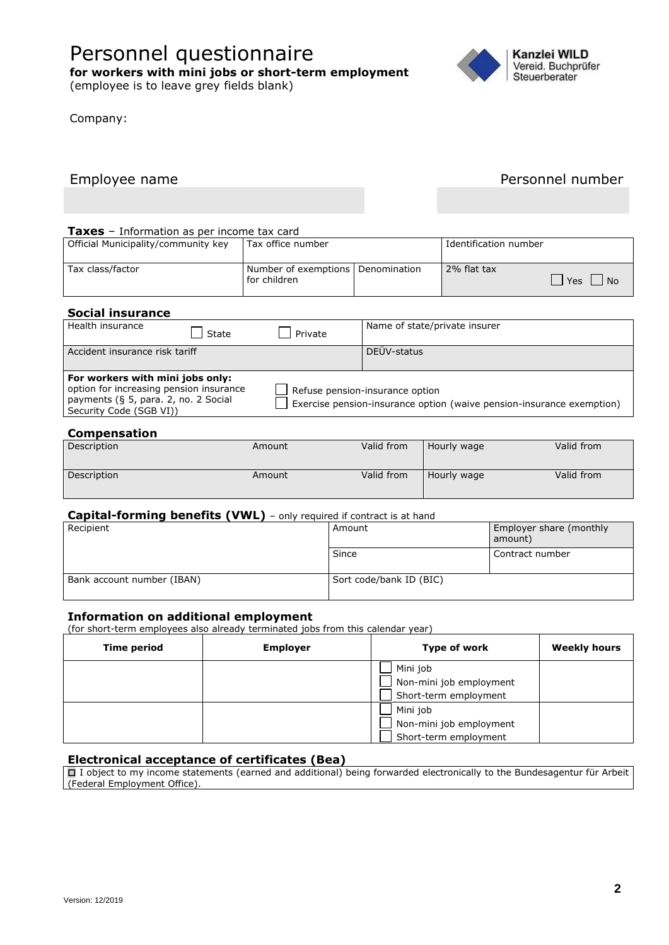# Personnel questionnaire

**for workers with mini jobs or short-term employment** 

(employee is to leave grey fields blank)

Company:



# Employee name **Personnel number** Personnel number

#### **Taxes** – Information as per income tax card

| Official Municipality/community key | Tax office number                                   | Identification number |                               |
|-------------------------------------|-----------------------------------------------------|-----------------------|-------------------------------|
| Tax class/factor                    | Number of exemptions   Denomination<br>for children | 2% flat tax           | <sup>1</sup> Yes<br><b>No</b> |

## **Social insurance**

| Health insurance                                                                                                                               | State | Private | Name of state/private insurer                                                                            |
|------------------------------------------------------------------------------------------------------------------------------------------------|-------|---------|----------------------------------------------------------------------------------------------------------|
| Accident insurance risk tariff                                                                                                                 |       |         | DEÜV-status                                                                                              |
| For workers with mini jobs only:<br>option for increasing pension insurance<br>payments (§ 5, para. 2, no. 2 Social<br>Security Code (SGB VI)) |       |         | Refuse pension-insurance option<br>Exercise pension-insurance option (waive pension-insurance exemption) |

#### **Compensation**

| Description | Amount | Valid from | Hourly wage | Valid from |
|-------------|--------|------------|-------------|------------|
| Description | Amount | Valid from | Hourly wage | Valid from |

#### **Capital-forming benefits (VWL)** – only required if contract is at hand

| Recipient                  | Amount                  | Employer share (monthly<br>amount) |
|----------------------------|-------------------------|------------------------------------|
|                            | Since                   | l Contract number                  |
| Bank account number (IBAN) | Sort code/bank ID (BIC) |                                    |

#### **Information on additional employment**

(for short-term employees also already terminated jobs from this calendar year)

| <b>Time period</b> | <b>Employer</b> | Type of work                                                 | <b>Weekly hours</b> |
|--------------------|-----------------|--------------------------------------------------------------|---------------------|
|                    |                 | Mini job<br>Non-mini job employment                          |                     |
|                    |                 | Short-term employment<br>Mini job<br>Non-mini job employment |                     |
|                    |                 | Short-term employment                                        |                     |

### **Electronical acceptance of certificates (Bea)**

 I object to my income statements (earned and additional) being forwarded electronically to the Bundesagentur für Arbeit (Federal Employment Office).